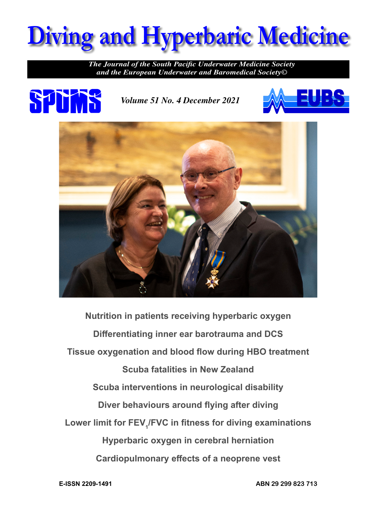

*The Journal of the South Pacific Underwater Medicine Society and the European Underwater and Baromedical Society©*



*Volume 51 No. 4 December 2021*





**Nutrition in patients receiving hyperbaric oxygen Differentiating inner ear barotrauma and DCS Tissue oxygenation and blood flow during HBO treatment Scuba fatalities in New Zealand Scuba interventions in neurological disability Diver behaviours around flying after diving Lower limit for FEV<sup>1</sup> /FVC in fitness for diving examinations Hyperbaric oxygen in cerebral herniation Cardiopulmonary effects of a neoprene vest**

**E-ISSN 2209-1491**

**ABN 29 299 823 713**